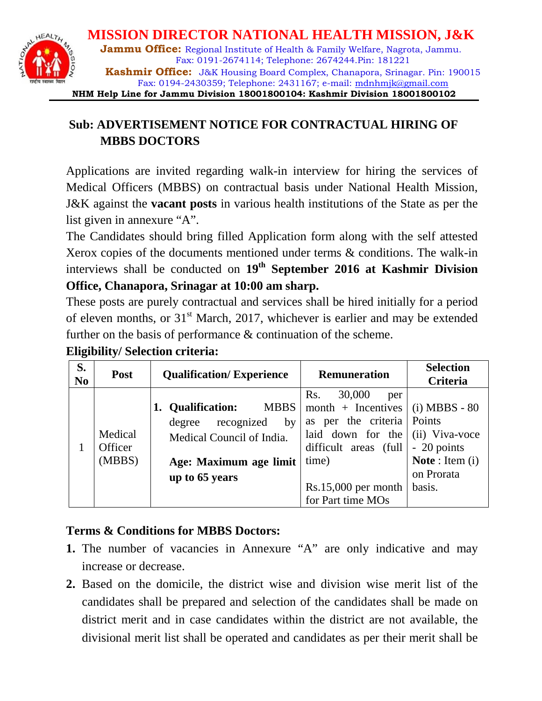

# **Sub: ADVERTISEMENT NOTICE FOR CONTRACTUAL HIRING OF MBBS DOCTORS**

Applications are invited regarding walk-in interview for hiring the services of Medical Officers (MBBS) on contractual basis under National Health Mission, J&K against the **vacant posts** in various health institutions of the State as per the list given in annexure "A".

The Candidates should bring filled Application form along with the self attested Xerox copies of the documents mentioned under terms & conditions. The walk-in interviews shall be conducted on 19<sup>th</sup> September 2016 at Kashmir Division **Office, Chanapora, Srinagar at 10:00 am sharp.**

These posts are purely contractual and services shall be hired initially for a period of eleven months, or  $31<sup>st</sup>$  March, 2017, whichever is earlier and may be extended further on the basis of performance & continuation of the scheme.

| S.<br>N <sub>0</sub> | <b>Post</b>                  | <b>Qualification/Experience</b>                                                                                                         | <b>Remuneration</b>                                                                                                                                                    | <b>Selection</b><br>Criteria                                                                                   |  |
|----------------------|------------------------------|-----------------------------------------------------------------------------------------------------------------------------------------|------------------------------------------------------------------------------------------------------------------------------------------------------------------------|----------------------------------------------------------------------------------------------------------------|--|
|                      | Medical<br>Officer<br>(MBBS) | 1. Qualification:<br><b>MBBS</b><br>recognized<br>by<br>degree<br>Medical Council of India.<br>Age: Maximum age limit<br>up to 65 years | Rs.<br>30,000<br>per<br>$month + Incentives$<br>as per the criteria<br>laid down for the<br>difficult areas (full<br>time)<br>Rs.15,000 per month<br>for Part time MOs | $(i) MBBS - 80$<br>Points<br>(ii) Viva-voce<br>- 20 points<br><b>Note</b> : Item $(i)$<br>on Prorata<br>basis. |  |

## **Eligibility/ Selection criteria:**

## **Terms & Conditions for MBBS Doctors:**

- **1.** The number of vacancies in Annexure "A" are only indicative and may increase or decrease.
- **2.** Based on the domicile, the district wise and division wise merit list of the candidates shall be prepared and selection of the candidates shall be made on district merit and in case candidates within the district are not available, the divisional merit list shall be operated and candidates as per their merit shall be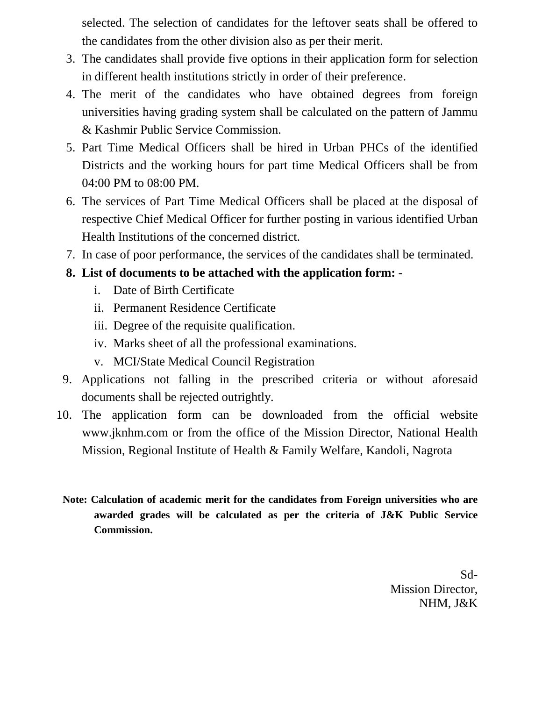selected. The selection of candidates for the leftover seats shall be offered to the candidates from the other division also as per their merit.

- 3. The candidates shall provide five options in their application form for selection in different health institutions strictly in order of their preference.
- 4. The merit of the candidates who have obtained degrees from foreign universities having grading system shall be calculated on the pattern of Jammu & Kashmir Public Service Commission.
- 5. Part Time Medical Officers shall be hired in Urban PHCs of the identified Districts and the working hours for part time Medical Officers shall be from 04:00 PM to 08:00 PM.
- 6. The services of Part Time Medical Officers shall be placed at the disposal of respective Chief Medical Officer for further posting in various identified Urban Health Institutions of the concerned district.
- 7. In case of poor performance, the services of the candidates shall be terminated.
- **8. List of documents to be attached with the application form:** 
	- i. Date of Birth Certificate
	- ii. Permanent Residence Certificate
	- iii. Degree of the requisite qualification.
	- iv. Marks sheet of all the professional examinations.
	- v. MCI/State Medical Council Registration
- 9. Applications not falling in the prescribed criteria or without aforesaid documents shall be rejected outrightly.
- 10. The application form can be downloaded from the official website [www.jknhm.com](http://www.jknhm.com/) or from the office of the Mission Director, National Health Mission, Regional Institute of Health & Family Welfare, Kandoli, Nagrota
- **Note: Calculation of academic merit for the candidates from Foreign universities who are awarded grades will be calculated as per the criteria of J&K Public Service Commission.**

Sd-Mission Director, NHM, J&K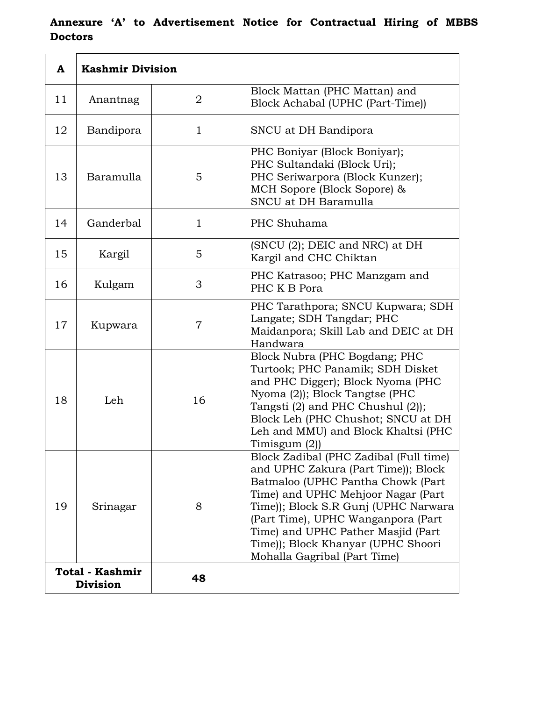## **Annexure 'A' to Advertisement Notice for Contractual Hiring of MBBS Doctors**

| A                                  | <b>Kashmir Division</b> |                |                                                                                                                                                                                                                                                                                                                                                    |
|------------------------------------|-------------------------|----------------|----------------------------------------------------------------------------------------------------------------------------------------------------------------------------------------------------------------------------------------------------------------------------------------------------------------------------------------------------|
| 11                                 | Anantnag                | 2              | Block Mattan (PHC Mattan) and<br>Block Achabal (UPHC (Part-Time))                                                                                                                                                                                                                                                                                  |
| 12                                 | Bandipora               | $\mathbf 1$    | SNCU at DH Bandipora                                                                                                                                                                                                                                                                                                                               |
| 13                                 | Baramulla               | 5              | PHC Boniyar (Block Boniyar);<br>PHC Sultandaki (Block Uri);<br>PHC Seriwarpora (Block Kunzer);<br>MCH Sopore (Block Sopore) &<br>SNCU at DH Baramulla                                                                                                                                                                                              |
| 14                                 | Ganderbal               | $\mathbf{1}$   | PHC Shuhama                                                                                                                                                                                                                                                                                                                                        |
| 15                                 | Kargil                  | 5              | (SNCU (2); DEIC and NRC) at DH<br>Kargil and CHC Chiktan                                                                                                                                                                                                                                                                                           |
| 16                                 | Kulgam                  | 3              | PHC Katrasoo; PHC Manzgam and<br>PHC K B Pora                                                                                                                                                                                                                                                                                                      |
| 17                                 | Kupwara                 | $\overline{7}$ | PHC Tarathpora; SNCU Kupwara; SDH<br>Langate; SDH Tangdar; PHC<br>Maidanpora; Skill Lab and DEIC at DH<br>Handwara                                                                                                                                                                                                                                 |
| 18                                 | Leh                     | 16             | Block Nubra (PHC Bogdang; PHC<br>Turtook; PHC Panamik; SDH Disket<br>and PHC Digger); Block Nyoma (PHC<br>Nyoma (2)); Block Tangtse (PHC<br>Tangsti (2) and PHC Chushul (2));<br>Block Leh (PHC Chushot; SNCU at DH<br>Leh and MMU) and Block Khaltsi (PHC<br>Timisgum $(2)$ )                                                                     |
| 19                                 | Srinagar                | 8              | Block Zadibal (PHC Zadibal (Full time)<br>and UPHC Zakura (Part Time)); Block<br>Batmaloo (UPHC Pantha Chowk (Part<br>Time) and UPHC Mehjoor Nagar (Part<br>Time)); Block S.R Gunj (UPHC Narwara<br>(Part Time), UPHC Wanganpora (Part<br>Time) and UPHC Pather Masjid (Part<br>Time)); Block Khanyar (UPHC Shoori<br>Mohalla Gagribal (Part Time) |
| Total - Kashmir<br><b>Division</b> |                         | 48             |                                                                                                                                                                                                                                                                                                                                                    |